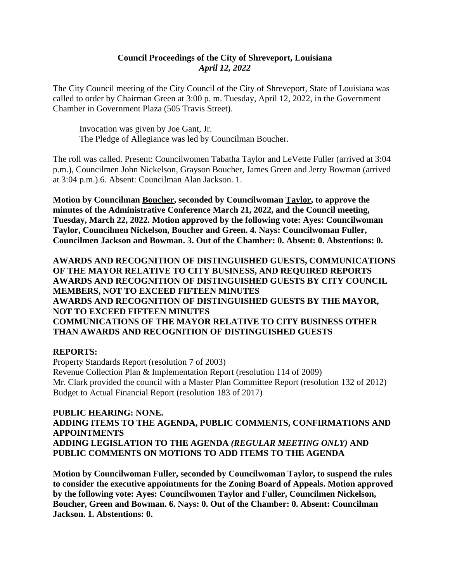#### **Council Proceedings of the City of Shreveport, Louisiana** *April 12, 2022*

The City Council meeting of the City Council of the City of Shreveport, State of Louisiana was called to order by Chairman Green at 3:00 p. m. Tuesday, April 12, 2022, in the Government Chamber in Government Plaza (505 Travis Street).

Invocation was given by Joe Gant, Jr. The Pledge of Allegiance was led by Councilman Boucher.

The roll was called. Present: Councilwomen Tabatha Taylor and LeVette Fuller (arrived at 3:04 p.m.), Councilmen John Nickelson, Grayson Boucher, James Green and Jerry Bowman (arrived at 3:04 p.m.).6. Absent: Councilman Alan Jackson. 1.

**Motion by Councilman Boucher, seconded by Councilwoman Taylor, to approve the minutes of the Administrative Conference March 21, 2022, and the Council meeting, Tuesday, March 22, 2022. Motion approved by the following vote: Ayes: Councilwoman Taylor, Councilmen Nickelson, Boucher and Green. 4. Nays: Councilwoman Fuller, Councilmen Jackson and Bowman. 3. Out of the Chamber: 0. Absent: 0. Abstentions: 0.**

**AWARDS AND RECOGNITION OF DISTINGUISHED GUESTS, COMMUNICATIONS OF THE MAYOR RELATIVE TO CITY BUSINESS, AND REQUIRED REPORTS AWARDS AND RECOGNITION OF DISTINGUISHED GUESTS BY CITY COUNCIL MEMBERS, NOT TO EXCEED FIFTEEN MINUTES AWARDS AND RECOGNITION OF DISTINGUISHED GUESTS BY THE MAYOR, NOT TO EXCEED FIFTEEN MINUTES COMMUNICATIONS OF THE MAYOR RELATIVE TO CITY BUSINESS OTHER THAN AWARDS AND RECOGNITION OF DISTINGUISHED GUESTS**

#### **REPORTS:**

Property Standards Report (resolution 7 of 2003) Revenue Collection Plan & Implementation Report (resolution 114 of 2009) Mr. Clark provided the council with a Master Plan Committee Report (resolution 132 of 2012) Budget to Actual Financial Report (resolution 183 of 2017)

**PUBLIC HEARING: NONE. ADDING ITEMS TO THE AGENDA, PUBLIC COMMENTS, CONFIRMATIONS AND APPOINTMENTS ADDING LEGISLATION TO THE AGENDA** *(REGULAR MEETING ONLY)* **AND PUBLIC COMMENTS ON MOTIONS TO ADD ITEMS TO THE AGENDA**

**Motion by Councilwoman Fuller, seconded by Councilwoman Taylor, to suspend the rules to consider the executive appointments for the Zoning Board of Appeals. Motion approved by the following vote: Ayes: Councilwomen Taylor and Fuller, Councilmen Nickelson, Boucher, Green and Bowman. 6. Nays: 0. Out of the Chamber: 0. Absent: Councilman Jackson. 1. Abstentions: 0.**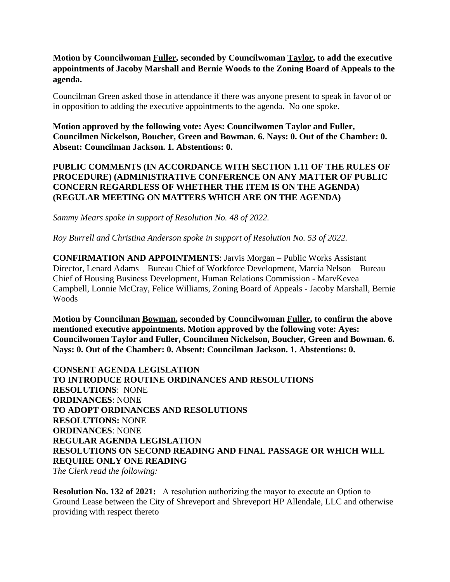#### **Motion by Councilwoman Fuller, seconded by Councilwoman Taylor, to add the executive appointments of Jacoby Marshall and Bernie Woods to the Zoning Board of Appeals to the agenda.**

Councilman Green asked those in attendance if there was anyone present to speak in favor of or in opposition to adding the executive appointments to the agenda. No one spoke.

**Motion approved by the following vote: Ayes: Councilwomen Taylor and Fuller, Councilmen Nickelson, Boucher, Green and Bowman. 6. Nays: 0. Out of the Chamber: 0. Absent: Councilman Jackson. 1. Abstentions: 0.**

#### **PUBLIC COMMENTS (IN ACCORDANCE WITH SECTION 1.11 OF THE RULES OF PROCEDURE) (ADMINISTRATIVE CONFERENCE ON ANY MATTER OF PUBLIC CONCERN REGARDLESS OF WHETHER THE ITEM IS ON THE AGENDA) (REGULAR MEETING ON MATTERS WHICH ARE ON THE AGENDA)**

*Sammy Mears spoke in support of Resolution No. 48 of 2022.*

*Roy Burrell and Christina Anderson spoke in support of Resolution No. 53 of 2022.*

**CONFIRMATION AND APPOINTMENTS**: Jarvis Morgan – Public Works Assistant Director, Lenard Adams – Bureau Chief of Workforce Development, Marcia Nelson – Bureau Chief of Housing Business Development, Human Relations Commission - MarvKevea Campbell, Lonnie McCray, Felice Williams, Zoning Board of Appeals - Jacoby Marshall, Bernie Woods

**Motion by Councilman Bowman, seconded by Councilwoman Fuller, to confirm the above mentioned executive appointments. Motion approved by the following vote: Ayes: Councilwomen Taylor and Fuller, Councilmen Nickelson, Boucher, Green and Bowman. 6. Nays: 0. Out of the Chamber: 0. Absent: Councilman Jackson. 1. Abstentions: 0.**

**CONSENT AGENDA LEGISLATION TO INTRODUCE ROUTINE ORDINANCES AND RESOLUTIONS RESOLUTIONS**: NONE **ORDINANCES**: NONE **TO ADOPT ORDINANCES AND RESOLUTIONS RESOLUTIONS:** NONE **ORDINANCES**: NONE **REGULAR AGENDA LEGISLATION RESOLUTIONS ON SECOND READING AND FINAL PASSAGE OR WHICH WILL REQUIRE ONLY ONE READING**

*The Clerk read the following:* 

**Resolution No. 132 of 2021:** A resolution authorizing the mayor to execute an Option to Ground Lease between the City of Shreveport and Shreveport HP Allendale, LLC and otherwise providing with respect thereto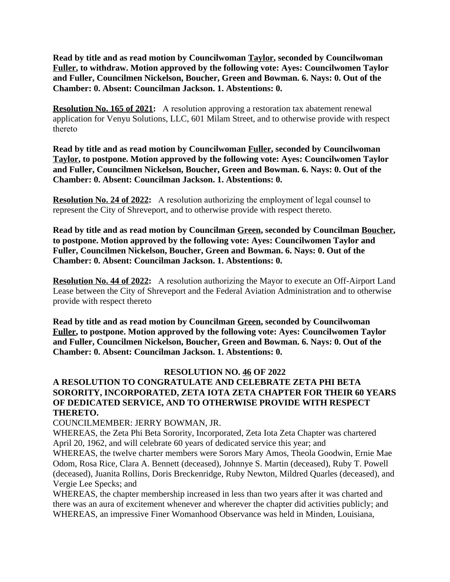**Read by title and as read motion by Councilwoman Taylor, seconded by Councilwoman Fuller, to withdraw. Motion approved by the following vote: Ayes: Councilwomen Taylor and Fuller, Councilmen Nickelson, Boucher, Green and Bowman. 6. Nays: 0. Out of the Chamber: 0. Absent: Councilman Jackson. 1. Abstentions: 0.**

**Resolution No. 165 of 2021:** A resolution approving a restoration tax abatement renewal application for Venyu Solutions, LLC, 601 Milam Street, and to otherwise provide with respect thereto

**Read by title and as read motion by Councilwoman Fuller, seconded by Councilwoman Taylor, to postpone. Motion approved by the following vote: Ayes: Councilwomen Taylor and Fuller, Councilmen Nickelson, Boucher, Green and Bowman. 6. Nays: 0. Out of the Chamber: 0. Absent: Councilman Jackson. 1. Abstentions: 0.**

**Resolution No. 24 of 2022:** A resolution authorizing the employment of legal counsel to represent the City of Shreveport, and to otherwise provide with respect thereto.

**Read by title and as read motion by Councilman Green, seconded by Councilman Boucher, to postpone. Motion approved by the following vote: Ayes: Councilwomen Taylor and Fuller, Councilmen Nickelson, Boucher, Green and Bowman. 6. Nays: 0. Out of the Chamber: 0. Absent: Councilman Jackson. 1. Abstentions: 0.**

**Resolution No. 44 of 2022:** A resolution authorizing the Mayor to execute an Off-Airport Land Lease between the City of Shreveport and the Federal Aviation Administration and to otherwise provide with respect thereto

**Read by title and as read motion by Councilman Green, seconded by Councilwoman Fuller, to postpone. Motion approved by the following vote: Ayes: Councilwomen Taylor and Fuller, Councilmen Nickelson, Boucher, Green and Bowman. 6. Nays: 0. Out of the Chamber: 0. Absent: Councilman Jackson. 1. Abstentions: 0.**

#### **RESOLUTION NO. 46 OF 2022**

# **A RESOLUTION TO CONGRATULATE AND CELEBRATE ZETA PHI BETA SORORITY, INCORPORATED, ZETA IOTA ZETA CHAPTER FOR THEIR 60 YEARS OF DEDICATED SERVICE, AND TO OTHERWISE PROVIDE WITH RESPECT THERETO.**

COUNCILMEMBER: JERRY BOWMAN, JR.

WHEREAS, the Zeta Phi Beta Sorority, Incorporated, Zeta Iota Zeta Chapter was chartered April 20, 1962, and will celebrate 60 years of dedicated service this year; and

WHEREAS, the twelve charter members were Sorors Mary Amos, Theola Goodwin, Ernie Mae Odom, Rosa Rice, Clara A. Bennett (deceased), Johnnye S. Martin (deceased), Ruby T. Powell (deceased), Juanita Rollins, Doris Breckenridge, Ruby Newton, Mildred Quarles (deceased), and Vergie Lee Specks; and

WHEREAS, the chapter membership increased in less than two years after it was charted and there was an aura of excitement whenever and wherever the chapter did activities publicly; and WHEREAS, an impressive Finer Womanhood Observance was held in Minden, Louisiana,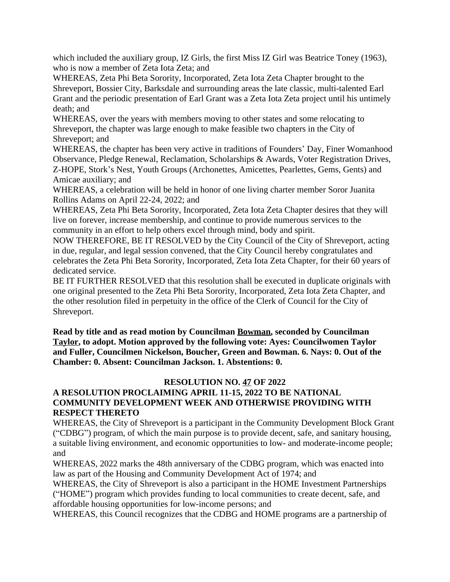which included the auxiliary group, IZ Girls, the first Miss IZ Girl was Beatrice Toney (1963), who is now a member of Zeta Iota Zeta; and

WHEREAS, Zeta Phi Beta Sorority, Incorporated, Zeta Iota Zeta Chapter brought to the Shreveport, Bossier City, Barksdale and surrounding areas the late classic, multi-talented Earl Grant and the periodic presentation of Earl Grant was a Zeta Iota Zeta project until his untimely death; and

WHEREAS, over the years with members moving to other states and some relocating to Shreveport, the chapter was large enough to make feasible two chapters in the City of Shreveport; and

WHEREAS, the chapter has been very active in traditions of Founders' Day, Finer Womanhood Observance, Pledge Renewal, Reclamation, Scholarships & Awards, Voter Registration Drives, Z-HOPE, Stork's Nest, Youth Groups (Archonettes, Amicettes, Pearlettes, Gems, Gents) and Amicae auxiliary; and

WHEREAS, a celebration will be held in honor of one living charter member Soror Juanita Rollins Adams on April 22-24, 2022; and

WHEREAS, Zeta Phi Beta Sorority, Incorporated, Zeta Iota Zeta Chapter desires that they will live on forever, increase membership, and continue to provide numerous services to the community in an effort to help others excel through mind, body and spirit.

NOW THEREFORE, BE IT RESOLVED by the City Council of the City of Shreveport, acting in due, regular, and legal session convened, that the City Council hereby congratulates and celebrates the Zeta Phi Beta Sorority, Incorporated, Zeta Iota Zeta Chapter, for their 60 years of dedicated service.

BE IT FURTHER RESOLVED that this resolution shall be executed in duplicate originals with one original presented to the Zeta Phi Beta Sorority, Incorporated, Zeta Iota Zeta Chapter, and the other resolution filed in perpetuity in the office of the Clerk of Council for the City of Shreveport.

**Read by title and as read motion by Councilman Bowman, seconded by Councilman Taylor, to adopt. Motion approved by the following vote: Ayes: Councilwomen Taylor and Fuller, Councilmen Nickelson, Boucher, Green and Bowman. 6. Nays: 0. Out of the Chamber: 0. Absent: Councilman Jackson. 1. Abstentions: 0.**

#### **RESOLUTION NO. 47 OF 2022**

# **A RESOLUTION PROCLAIMING APRIL 11-15, 2022 TO BE NATIONAL COMMUNITY DEVELOPMENT WEEK AND OTHERWISE PROVIDING WITH RESPECT THERETO**

WHEREAS, the City of Shreveport is a participant in the Community Development Block Grant ("CDBG") program, of which the main purpose is to provide decent, safe, and sanitary housing, a suitable living environment, and economic opportunities to low- and moderate-income people; and

WHEREAS, 2022 marks the 48th anniversary of the CDBG program, which was enacted into law as part of the Housing and Community Development Act of 1974; and

WHEREAS, the City of Shreveport is also a participant in the HOME Investment Partnerships ("HOME") program which provides funding to local communities to create decent, safe, and affordable housing opportunities for low-income persons; and

WHEREAS, this Council recognizes that the CDBG and HOME programs are a partnership of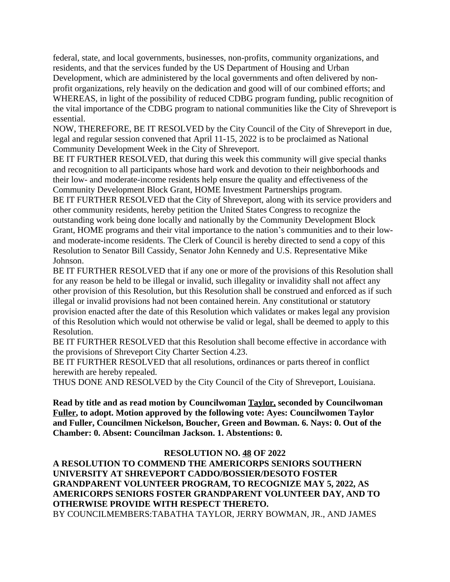federal, state, and local governments, businesses, non-profits, community organizations, and residents, and that the services funded by the US Department of Housing and Urban Development, which are administered by the local governments and often delivered by nonprofit organizations, rely heavily on the dedication and good will of our combined efforts; and WHEREAS, in light of the possibility of reduced CDBG program funding, public recognition of the vital importance of the CDBG program to national communities like the City of Shreveport is essential.

NOW, THEREFORE, BE IT RESOLVED by the City Council of the City of Shreveport in due, legal and regular session convened that April 11-15, 2022 is to be proclaimed as National Community Development Week in the City of Shreveport.

BE IT FURTHER RESOLVED, that during this week this community will give special thanks and recognition to all participants whose hard work and devotion to their neighborhoods and their low- and moderate-income residents help ensure the quality and effectiveness of the Community Development Block Grant, HOME Investment Partnerships program.

BE IT FURTHER RESOLVED that the City of Shreveport, along with its service providers and other community residents, hereby petition the United States Congress to recognize the outstanding work being done locally and nationally by the Community Development Block Grant, HOME programs and their vital importance to the nation's communities and to their lowand moderate-income residents. The Clerk of Council is hereby directed to send a copy of this Resolution to Senator Bill Cassidy, Senator John Kennedy and U.S. Representative Mike Johnson.

BE IT FURTHER RESOLVED that if any one or more of the provisions of this Resolution shall for any reason be held to be illegal or invalid, such illegality or invalidity shall not affect any other provision of this Resolution, but this Resolution shall be construed and enforced as if such illegal or invalid provisions had not been contained herein. Any constitutional or statutory provision enacted after the date of this Resolution which validates or makes legal any provision of this Resolution which would not otherwise be valid or legal, shall be deemed to apply to this Resolution.

BE IT FURTHER RESOLVED that this Resolution shall become effective in accordance with the provisions of Shreveport City Charter Section 4.23.

BE IT FURTHER RESOLVED that all resolutions, ordinances or parts thereof in conflict herewith are hereby repealed.

THUS DONE AND RESOLVED by the City Council of the City of Shreveport, Louisiana.

**Read by title and as read motion by Councilwoman Taylor, seconded by Councilwoman Fuller, to adopt. Motion approved by the following vote: Ayes: Councilwomen Taylor and Fuller, Councilmen Nickelson, Boucher, Green and Bowman. 6. Nays: 0. Out of the Chamber: 0. Absent: Councilman Jackson. 1. Abstentions: 0.**

#### **RESOLUTION NO. 48 OF 2022**

**A RESOLUTION TO COMMEND THE AMERICORPS SENIORS SOUTHERN UNIVERSITY AT SHREVEPORT CADDO/BOSSIER/DESOTO FOSTER GRANDPARENT VOLUNTEER PROGRAM, TO RECOGNIZE MAY 5, 2022, AS AMERICORPS SENIORS FOSTER GRANDPARENT VOLUNTEER DAY, AND TO OTHERWISE PROVIDE WITH RESPECT THERETO.** BY COUNCILMEMBERS:TABATHA TAYLOR, JERRY BOWMAN, JR., AND JAMES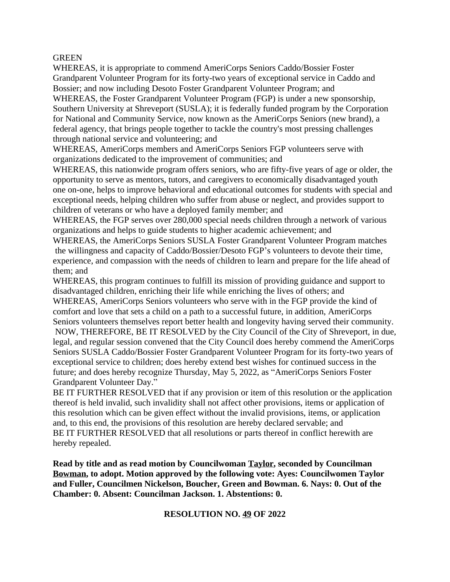#### **GREEN**

WHEREAS, it is appropriate to commend AmeriCorps Seniors Caddo/Bossier Foster Grandparent Volunteer Program for its forty-two years of exceptional service in Caddo and Bossier; and now including Desoto Foster Grandparent Volunteer Program; and WHEREAS, the Foster Grandparent Volunteer Program (FGP) is under a new sponsorship,

Southern University at Shreveport (SUSLA); it is federally funded program by the Corporation for National and Community Service, now known as the AmeriCorps Seniors (new brand), a federal agency, that brings people together to tackle the country's most pressing challenges through national service and volunteering; and

WHEREAS, AmeriCorps members and AmeriCorps Seniors FGP volunteers serve with organizations dedicated to the improvement of communities; and

WHEREAS, this nationwide program offers seniors, who are fifty-five years of age or older, the opportunity to serve as mentors, tutors, and caregivers to economically disadvantaged youth one on-one, helps to improve behavioral and educational outcomes for students with special and exceptional needs, helping children who suffer from abuse or neglect, and provides support to children of veterans or who have a deployed family member; and

WHEREAS, the FGP serves over 280,000 special needs children through a network of various organizations and helps to guide students to higher academic achievement; and

WHEREAS, the AmeriCorps Seniors SUSLA Foster Grandparent Volunteer Program matches the willingness and capacity of Caddo/Bossier/Desoto FGP's volunteers to devote their time, experience, and compassion with the needs of children to learn and prepare for the life ahead of them; and

WHEREAS, this program continues to fulfill its mission of providing guidance and support to disadvantaged children, enriching their life while enriching the lives of others; and WHEREAS, AmeriCorps Seniors volunteers who serve with in the FGP provide the kind of comfort and love that sets a child on a path to a successful future, in addition, AmeriCorps Seniors volunteers themselves report better health and longevity having served their community. NOW, THEREFORE, BE IT RESOLVED by the City Council of the City of Shreveport, in due, legal, and regular session convened that the City Council does hereby commend the AmeriCorps Seniors SUSLA Caddo/Bossier Foster Grandparent Volunteer Program for its forty-two years of exceptional service to children; does hereby extend best wishes for continued success in the future; and does hereby recognize Thursday, May 5, 2022, as "AmeriCorps Seniors Foster Grandparent Volunteer Day."

BE IT FURTHER RESOLVED that if any provision or item of this resolution or the application thereof is held invalid, such invalidity shall not affect other provisions, items or application of this resolution which can be given effect without the invalid provisions, items, or application and, to this end, the provisions of this resolution are hereby declared servable; and BE IT FURTHER RESOLVED that all resolutions or parts thereof in conflict herewith are hereby repealed.

**Read by title and as read motion by Councilwoman Taylor, seconded by Councilman Bowman, to adopt. Motion approved by the following vote: Ayes: Councilwomen Taylor and Fuller, Councilmen Nickelson, Boucher, Green and Bowman. 6. Nays: 0. Out of the Chamber: 0. Absent: Councilman Jackson. 1. Abstentions: 0.**

#### **RESOLUTION NO. 49 OF 2022**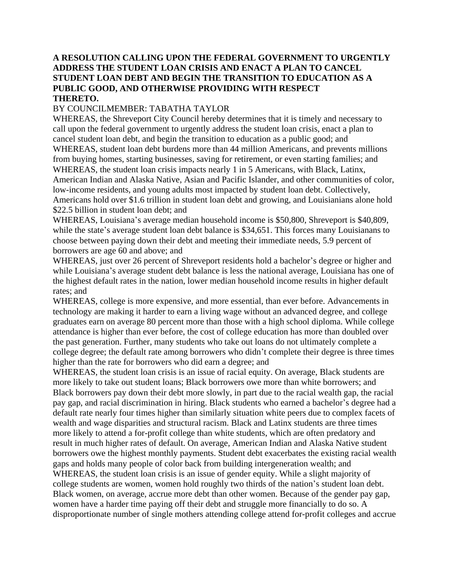#### **A RESOLUTION CALLING UPON THE FEDERAL GOVERNMENT TO URGENTLY ADDRESS THE STUDENT LOAN CRISIS AND ENACT A PLAN TO CANCEL STUDENT LOAN DEBT AND BEGIN THE TRANSITION TO EDUCATION AS A PUBLIC GOOD, AND OTHERWISE PROVIDING WITH RESPECT THERETO.**

#### BY COUNCILMEMBER: TABATHA TAYLOR

WHEREAS, the Shreveport City Council hereby determines that it is timely and necessary to call upon the federal government to urgently address the student loan crisis, enact a plan to cancel student loan debt, and begin the transition to education as a public good; and WHEREAS, student loan debt burdens more than 44 million Americans, and prevents millions from buying homes, starting businesses, saving for retirement, or even starting families; and WHEREAS, the student loan crisis impacts nearly 1 in 5 Americans, with Black, Latinx, American Indian and Alaska Native, Asian and Pacific Islander, and other communities of color, low-income residents, and young adults most impacted by student loan debt. Collectively, Americans hold over \$1.6 trillion in student loan debt and growing, and Louisianians alone hold \$22.5 billion in student loan debt; and

WHEREAS, Louisiana's average median household income is \$50,800, Shreveport is \$40,809, while the state's average student loan debt balance is \$34,651. This forces many Louisianans to choose between paying down their debt and meeting their immediate needs, 5.9 percent of borrowers are age 60 and above; and

WHEREAS, just over 26 percent of Shreveport residents hold a bachelor's degree or higher and while Louisiana's average student debt balance is less the national average, Louisiana has one of the highest default rates in the nation, lower median household income results in higher default rates; and

WHEREAS, college is more expensive, and more essential, than ever before. Advancements in technology are making it harder to earn a living wage without an advanced degree, and college graduates earn on average 80 percent more than those with a high school diploma. While college attendance is higher than ever before, the cost of college education has more than doubled over the past generation. Further, many students who take out loans do not ultimately complete a college degree; the default rate among borrowers who didn't complete their degree is three times higher than the rate for borrowers who did earn a degree; and

WHEREAS, the student loan crisis is an issue of racial equity. On average, Black students are more likely to take out student loans; Black borrowers owe more than white borrowers; and Black borrowers pay down their debt more slowly, in part due to the racial wealth gap, the racial pay gap, and racial discrimination in hiring. Black students who earned a bachelor's degree had a default rate nearly four times higher than similarly situation white peers due to complex facets of wealth and wage disparities and structural racism. Black and Latinx students are three times more likely to attend a for-profit college than white students, which are often predatory and result in much higher rates of default. On average, American Indian and Alaska Native student borrowers owe the highest monthly payments. Student debt exacerbates the existing racial wealth gaps and holds many people of color back from building intergeneration wealth; and

WHEREAS, the student loan crisis is an issue of gender equity. While a slight majority of college students are women, women hold roughly two thirds of the nation's student loan debt. Black women, on average, accrue more debt than other women. Because of the gender pay gap, women have a harder time paying off their debt and struggle more financially to do so. A disproportionate number of single mothers attending college attend for-profit colleges and accrue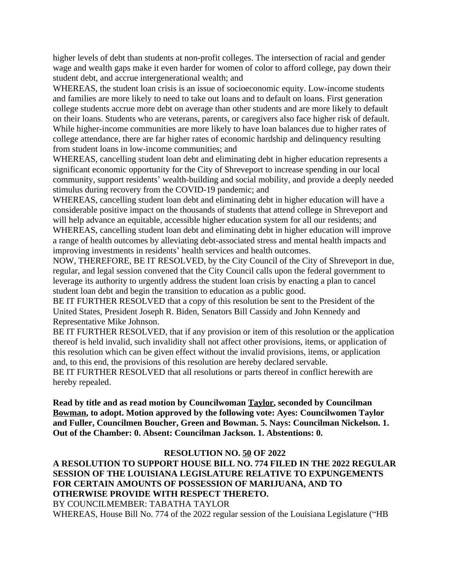higher levels of debt than students at non-profit colleges. The intersection of racial and gender wage and wealth gaps make it even harder for women of color to afford college, pay down their student debt, and accrue intergenerational wealth; and

WHEREAS, the student loan crisis is an issue of socioeconomic equity. Low-income students and families are more likely to need to take out loans and to default on loans. First generation college students accrue more debt on average than other students and are more likely to default on their loans. Students who are veterans, parents, or caregivers also face higher risk of default. While higher-income communities are more likely to have loan balances due to higher rates of college attendance, there are far higher rates of economic hardship and delinquency resulting from student loans in low-income communities; and

WHEREAS, cancelling student loan debt and eliminating debt in higher education represents a significant economic opportunity for the City of Shreveport to increase spending in our local community, support residents' wealth-building and social mobility, and provide a deeply needed stimulus during recovery from the COVID-19 pandemic; and

WHEREAS, cancelling student loan debt and eliminating debt in higher education will have a considerable positive impact on the thousands of students that attend college in Shreveport and will help advance an equitable, accessible higher education system for all our residents; and WHEREAS, cancelling student loan debt and eliminating debt in higher education will improve a range of health outcomes by alleviating debt-associated stress and mental health impacts and improving investments in residents' health services and health outcomes.

NOW, THEREFORE, BE IT RESOLVED, by the City Council of the City of Shreveport in due, regular, and legal session convened that the City Council calls upon the federal government to leverage its authority to urgently address the student loan crisis by enacting a plan to cancel student loan debt and begin the transition to education as a public good.

BE IT FURTHER RESOLVED that a copy of this resolution be sent to the President of the United States, President Joseph R. Biden, Senators Bill Cassidy and John Kennedy and Representative Mike Johnson.

BE IT FURTHER RESOLVED, that if any provision or item of this resolution or the application thereof is held invalid, such invalidity shall not affect other provisions, items, or application of this resolution which can be given effect without the invalid provisions, items, or application and, to this end, the provisions of this resolution are hereby declared servable.

BE IT FURTHER RESOLVED that all resolutions or parts thereof in conflict herewith are hereby repealed.

**Read by title and as read motion by Councilwoman Taylor, seconded by Councilman Bowman, to adopt. Motion approved by the following vote: Ayes: Councilwomen Taylor and Fuller, Councilmen Boucher, Green and Bowman. 5. Nays: Councilman Nickelson. 1. Out of the Chamber: 0. Absent: Councilman Jackson. 1. Abstentions: 0.**

#### **RESOLUTION NO. 50 OF 2022**

**A RESOLUTION TO SUPPORT HOUSE BILL NO. 774 FILED IN THE 2022 REGULAR SESSION OF THE LOUISIANA LEGISLATURE RELATIVE TO EXPUNGEMENTS FOR CERTAIN AMOUNTS OF POSSESSION OF MARIJUANA, AND TO OTHERWISE PROVIDE WITH RESPECT THERETO.** BY COUNCILMEMBER: TABATHA TAYLOR WHEREAS, House Bill No. 774 of the 2022 regular session of the Louisiana Legislature ("HB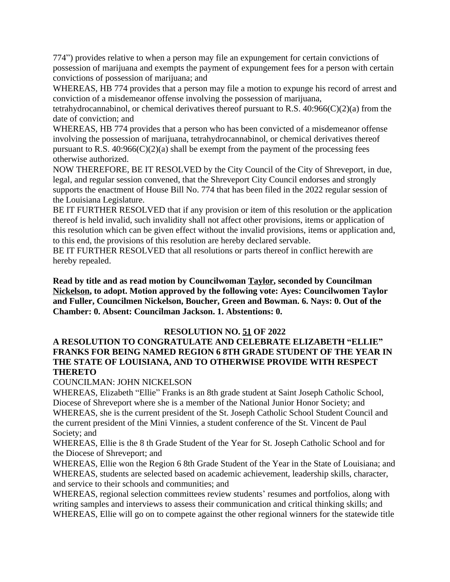774") provides relative to when a person may file an expungement for certain convictions of possession of marijuana and exempts the payment of expungement fees for a person with certain convictions of possession of marijuana; and

WHEREAS, HB 774 provides that a person may file a motion to expunge his record of arrest and conviction of a misdemeanor offense involving the possession of marijuana,

tetrahydrocannabinol, or chemical derivatives thereof pursuant to R.S.  $40:966(C)(2)(a)$  from the date of conviction; and

WHEREAS, HB 774 provides that a person who has been convicted of a misdemeanor offense involving the possession of marijuana, tetrahydrocannabinol, or chemical derivatives thereof pursuant to R.S.  $40:966(C)(2)(a)$  shall be exempt from the payment of the processing fees otherwise authorized.

NOW THEREFORE, BE IT RESOLVED by the City Council of the City of Shreveport, in due, legal, and regular session convened, that the Shreveport City Council endorses and strongly supports the enactment of House Bill No. 774 that has been filed in the 2022 regular session of the Louisiana Legislature.

BE IT FURTHER RESOLVED that if any provision or item of this resolution or the application thereof is held invalid, such invalidity shall not affect other provisions, items or application of this resolution which can be given effect without the invalid provisions, items or application and, to this end, the provisions of this resolution are hereby declared servable.

BE IT FURTHER RESOLVED that all resolutions or parts thereof in conflict herewith are hereby repealed.

**Read by title and as read motion by Councilwoman Taylor, seconded by Councilman Nickelson, to adopt. Motion approved by the following vote: Ayes: Councilwomen Taylor and Fuller, Councilmen Nickelson, Boucher, Green and Bowman. 6. Nays: 0. Out of the Chamber: 0. Absent: Councilman Jackson. 1. Abstentions: 0.**

#### **RESOLUTION NO. 51 OF 2022**

## **A RESOLUTION TO CONGRATULATE AND CELEBRATE ELIZABETH "ELLIE" FRANKS FOR BEING NAMED REGION 6 8TH GRADE STUDENT OF THE YEAR IN THE STATE OF LOUISIANA, AND TO OTHERWISE PROVIDE WITH RESPECT THERETO**

#### COUNCILMAN: JOHN NICKELSON

WHEREAS, Elizabeth "Ellie" Franks is an 8th grade student at Saint Joseph Catholic School, Diocese of Shreveport where she is a member of the National Junior Honor Society; and WHEREAS, she is the current president of the St. Joseph Catholic School Student Council and the current president of the Mini Vinnies, a student conference of the St. Vincent de Paul Society; and

WHEREAS, Ellie is the 8 th Grade Student of the Year for St. Joseph Catholic School and for the Diocese of Shreveport; and

WHEREAS, Ellie won the Region 6 8th Grade Student of the Year in the State of Louisiana; and WHEREAS, students are selected based on academic achievement, leadership skills, character, and service to their schools and communities; and

WHEREAS, regional selection committees review students' resumes and portfolios, along with writing samples and interviews to assess their communication and critical thinking skills; and WHEREAS, Ellie will go on to compete against the other regional winners for the statewide title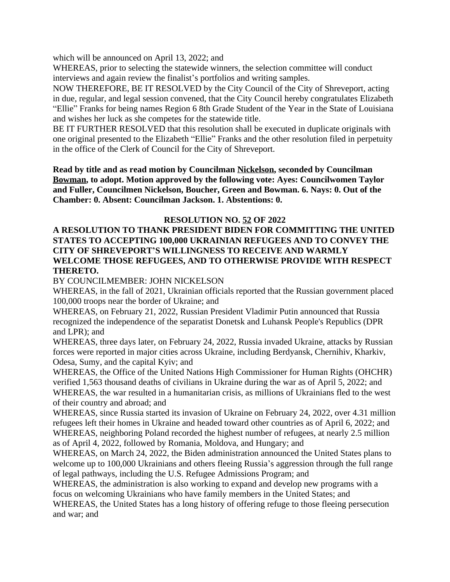which will be announced on April 13, 2022; and

WHEREAS, prior to selecting the statewide winners, the selection committee will conduct interviews and again review the finalist's portfolios and writing samples.

NOW THEREFORE, BE IT RESOLVED by the City Council of the City of Shreveport, acting in due, regular, and legal session convened, that the City Council hereby congratulates Elizabeth "Ellie" Franks for being names Region 6 8th Grade Student of the Year in the State of Louisiana and wishes her luck as she competes for the statewide title.

BE IT FURTHER RESOLVED that this resolution shall be executed in duplicate originals with one original presented to the Elizabeth "Ellie" Franks and the other resolution filed in perpetuity in the office of the Clerk of Council for the City of Shreveport.

**Read by title and as read motion by Councilman Nickelson, seconded by Councilman Bowman, to adopt. Motion approved by the following vote: Ayes: Councilwomen Taylor and Fuller, Councilmen Nickelson, Boucher, Green and Bowman. 6. Nays: 0. Out of the Chamber: 0. Absent: Councilman Jackson. 1. Abstentions: 0.**

#### **RESOLUTION NO. 52 OF 2022**

#### **A RESOLUTION TO THANK PRESIDENT BIDEN FOR COMMITTING THE UNITED STATES TO ACCEPTING 100,000 UKRAINIAN REFUGEES AND TO CONVEY THE CITY OF SHREVEPORT'S WILLINGNESS TO RECEIVE AND WARMLY WELCOME THOSE REFUGEES, AND TO OTHERWISE PROVIDE WITH RESPECT THERETO.**

BY COUNCILMEMBER: JOHN NICKELSON

WHEREAS, in the fall of 2021, Ukrainian officials reported that the Russian government placed 100,000 troops near the border of Ukraine; and

WHEREAS, on February 21, 2022, Russian President Vladimir Putin announced that Russia recognized the independence of the separatist Donetsk and Luhansk People's Republics (DPR and LPR); and

WHEREAS, three days later, on February 24, 2022, Russia invaded Ukraine, attacks by Russian forces were reported in major cities across Ukraine, including Berdyansk, Chernihiv, Kharkiv, Odesa, Sumy, and the capital Kyiv; and

WHEREAS, the Office of the United Nations High Commissioner for Human Rights (OHCHR) verified 1,563 thousand deaths of civilians in Ukraine during the war as of April 5, 2022; and WHEREAS, the war resulted in a humanitarian crisis, as millions of Ukrainians fled to the west of their country and abroad; and

WHEREAS, since Russia started its invasion of Ukraine on February 24, 2022, over 4.31 million refugees left their homes in Ukraine and headed toward other countries as of April 6, 2022; and WHEREAS, neighboring Poland recorded the highest number of refugees, at nearly 2.5 million as of April 4, 2022, followed by Romania, Moldova, and Hungary; and

WHEREAS, on March 24, 2022, the Biden administration announced the United States plans to welcome up to 100,000 Ukrainians and others fleeing Russia's aggression through the full range of legal pathways, including the U.S. Refugee Admissions Program; and

WHEREAS, the administration is also working to expand and develop new programs with a focus on welcoming Ukrainians who have family members in the United States; and

WHEREAS, the United States has a long history of offering refuge to those fleeing persecution and war; and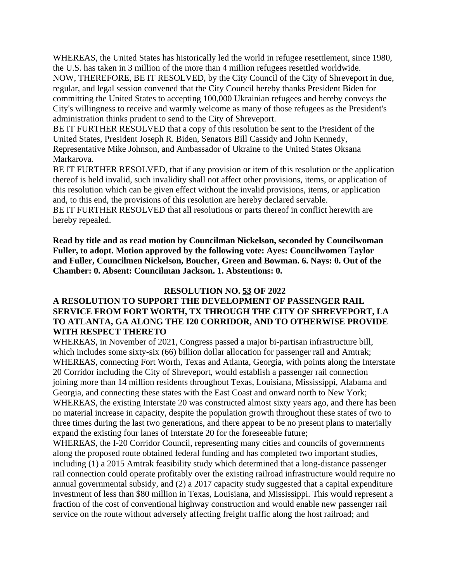WHEREAS, the United States has historically led the world in refugee resettlement, since 1980, the U.S. has taken in 3 million of the more than 4 million refugees resettled worldwide.

NOW, THEREFORE, BE IT RESOLVED, by the City Council of the City of Shreveport in due, regular, and legal session convened that the City Council hereby thanks President Biden for committing the United States to accepting 100,000 Ukrainian refugees and hereby conveys the City's willingness to receive and warmly welcome as many of those refugees as the President's administration thinks prudent to send to the City of Shreveport.

BE IT FURTHER RESOLVED that a copy of this resolution be sent to the President of the United States, President Joseph R. Biden, Senators Bill Cassidy and John Kennedy, Representative Mike Johnson, and Ambassador of Ukraine to the United States Oksana Markarova.

BE IT FURTHER RESOLVED, that if any provision or item of this resolution or the application thereof is held invalid, such invalidity shall not affect other provisions, items, or application of this resolution which can be given effect without the invalid provisions, items, or application and, to this end, the provisions of this resolution are hereby declared servable.

BE IT FURTHER RESOLVED that all resolutions or parts thereof in conflict herewith are hereby repealed.

**Read by title and as read motion by Councilman Nickelson, seconded by Councilwoman Fuller, to adopt. Motion approved by the following vote: Ayes: Councilwomen Taylor and Fuller, Councilmen Nickelson, Boucher, Green and Bowman. 6. Nays: 0. Out of the Chamber: 0. Absent: Councilman Jackson. 1. Abstentions: 0.**

#### **RESOLUTION NO. 53 OF 2022**

## **A RESOLUTION TO SUPPORT THE DEVELOPMENT OF PASSENGER RAIL SERVICE FROM FORT WORTH, TX THROUGH THE CITY OF SHREVEPORT, LA TO ATLANTA, GA ALONG THE I20 CORRIDOR, AND TO OTHERWISE PROVIDE WITH RESPECT THERETO**

WHEREAS, in November of 2021, Congress passed a major bi-partisan infrastructure bill, which includes some sixty-six (66) billion dollar allocation for passenger rail and Amtrak; WHEREAS, connecting Fort Worth, Texas and Atlanta, Georgia, with points along the Interstate 20 Corridor including the City of Shreveport, would establish a passenger rail connection joining more than 14 million residents throughout Texas, Louisiana, Mississippi, Alabama and Georgia, and connecting these states with the East Coast and onward north to New York; WHEREAS, the existing Interstate 20 was constructed almost sixty years ago, and there has been no material increase in capacity, despite the population growth throughout these states of two to three times during the last two generations, and there appear to be no present plans to materially expand the existing four lanes of Interstate 20 for the foreseeable future;

WHEREAS, the I-20 Corridor Council, representing many cities and councils of governments along the proposed route obtained federal funding and has completed two important studies, including (1) a 2015 Amtrak feasibility study which determined that a long-distance passenger rail connection could operate profitably over the existing railroad infrastructure would require no annual governmental subsidy, and (2) a 2017 capacity study suggested that a capital expenditure investment of less than \$80 million in Texas, Louisiana, and Mississippi. This would represent a fraction of the cost of conventional highway construction and would enable new passenger rail service on the route without adversely affecting freight traffic along the host railroad; and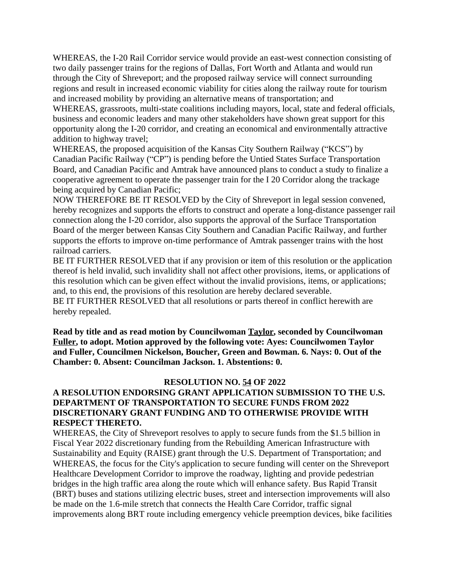WHEREAS, the I-20 Rail Corridor service would provide an east-west connection consisting of two daily passenger trains for the regions of Dallas, Fort Worth and Atlanta and would run through the City of Shreveport; and the proposed railway service will connect surrounding regions and result in increased economic viability for cities along the railway route for tourism and increased mobility by providing an alternative means of transportation; and

WHEREAS, grassroots, multi-state coalitions including mayors, local, state and federal officials, business and economic leaders and many other stakeholders have shown great support for this opportunity along the I-20 corridor, and creating an economical and environmentally attractive addition to highway travel;

WHEREAS, the proposed acquisition of the Kansas City Southern Railway ("KCS") by Canadian Pacific Railway ("CP") is pending before the Untied States Surface Transportation Board, and Canadian Pacific and Amtrak have announced plans to conduct a study to finalize a cooperative agreement to operate the passenger train for the I 20 Corridor along the trackage being acquired by Canadian Pacific;

NOW THEREFORE BE IT RESOLVED by the City of Shreveport in legal session convened, hereby recognizes and supports the efforts to construct and operate a long-distance passenger rail connection along the I-20 corridor, also supports the approval of the Surface Transportation Board of the merger between Kansas City Southern and Canadian Pacific Railway, and further supports the efforts to improve on-time performance of Amtrak passenger trains with the host railroad carriers.

BE IT FURTHER RESOLVED that if any provision or item of this resolution or the application thereof is held invalid, such invalidity shall not affect other provisions, items, or applications of this resolution which can be given effect without the invalid provisions, items, or applications; and, to this end, the provisions of this resolution are hereby declared severable.

BE IT FURTHER RESOLVED that all resolutions or parts thereof in conflict herewith are hereby repealed.

**Read by title and as read motion by Councilwoman Taylor, seconded by Councilwoman Fuller, to adopt. Motion approved by the following vote: Ayes: Councilwomen Taylor and Fuller, Councilmen Nickelson, Boucher, Green and Bowman. 6. Nays: 0. Out of the Chamber: 0. Absent: Councilman Jackson. 1. Abstentions: 0.**

#### **RESOLUTION NO. 54 OF 2022**

# **A RESOLUTION ENDORSING GRANT APPLICATION SUBMISSION TO THE U.S. DEPARTMENT OF TRANSPORTATION TO SECURE FUNDS FROM 2022 DISCRETIONARY GRANT FUNDING AND TO OTHERWISE PROVIDE WITH RESPECT THERETO.**

WHEREAS, the City of Shreveport resolves to apply to secure funds from the \$1.5 billion in Fiscal Year 2022 discretionary funding from the Rebuilding American Infrastructure with Sustainability and Equity (RAISE) grant through the U.S. Department of Transportation; and WHEREAS, the focus for the City's application to secure funding will center on the Shreveport Healthcare Development Corridor to improve the roadway, lighting and provide pedestrian bridges in the high traffic area along the route which will enhance safety. Bus Rapid Transit (BRT) buses and stations utilizing electric buses, street and intersection improvements will also be made on the 1.6-mile stretch that connects the Health Care Corridor, traffic signal improvements along BRT route including emergency vehicle preemption devices, bike facilities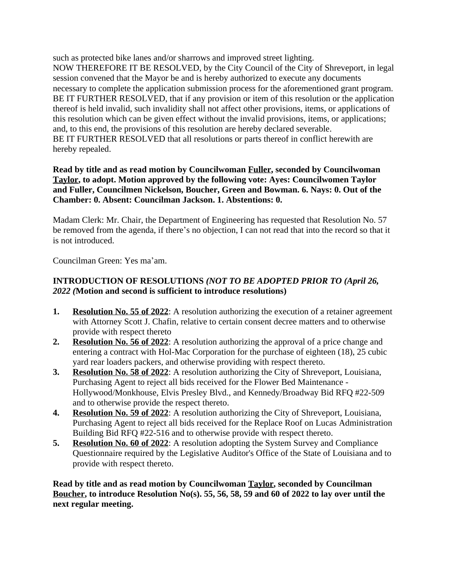such as protected bike lanes and/or sharrows and improved street lighting. NOW THEREFORE IT BE RESOLVED, by the City Council of the City of Shreveport, in legal session convened that the Mayor be and is hereby authorized to execute any documents necessary to complete the application submission process for the aforementioned grant program. BE IT FURTHER RESOLVED, that if any provision or item of this resolution or the application thereof is held invalid, such invalidity shall not affect other provisions, items, or applications of this resolution which can be given effect without the invalid provisions, items, or applications; and, to this end, the provisions of this resolution are hereby declared severable. BE IT FURTHER RESOLVED that all resolutions or parts thereof in conflict herewith are hereby repealed.

#### **Read by title and as read motion by Councilwoman Fuller, seconded by Councilwoman Taylor, to adopt. Motion approved by the following vote: Ayes: Councilwomen Taylor and Fuller, Councilmen Nickelson, Boucher, Green and Bowman. 6. Nays: 0. Out of the Chamber: 0. Absent: Councilman Jackson. 1. Abstentions: 0.**

Madam Clerk: Mr. Chair, the Department of Engineering has requested that Resolution No. 57 be removed from the agenda, if there's no objection, I can not read that into the record so that it is not introduced.

Councilman Green: Yes ma'am.

# **INTRODUCTION OF RESOLUTIONS** *(NOT TO BE ADOPTED PRIOR TO (April 26, 2022 (***Motion and second is sufficient to introduce resolutions)**

- **1. Resolution No. 55 of 2022**: A resolution authorizing the execution of a retainer agreement with Attorney Scott J. Chafin, relative to certain consent decree matters and to otherwise provide with respect thereto
- **2. Resolution No. 56 of 2022**: A resolution authorizing the approval of a price change and entering a contract with Hol-Mac Corporation for the purchase of eighteen (18), 25 cubic yard rear loaders packers, and otherwise providing with respect thereto.
- **3. Resolution No. 58 of 2022**: A resolution authorizing the City of Shreveport, Louisiana, Purchasing Agent to reject all bids received for the Flower Bed Maintenance - Hollywood/Monkhouse, Elvis Presley Blvd., and Kennedy/Broadway Bid RFQ #22-509 and to otherwise provide the respect thereto.
- **4. Resolution No. 59 of 2022**: A resolution authorizing the City of Shreveport, Louisiana, Purchasing Agent to reject all bids received for the Replace Roof on Lucas Administration Building Bid RFQ #22-516 and to otherwise provide with respect thereto.
- **5. Resolution No. 60 of 2022**: A resolution adopting the System Survey and Compliance Questionnaire required by the Legislative Auditor's Office of the State of Louisiana and to provide with respect thereto.

#### **Read by title and as read motion by Councilwoman Taylor, seconded by Councilman Boucher, to introduce Resolution No(s). 55, 56, 58, 59 and 60 of 2022 to lay over until the next regular meeting.**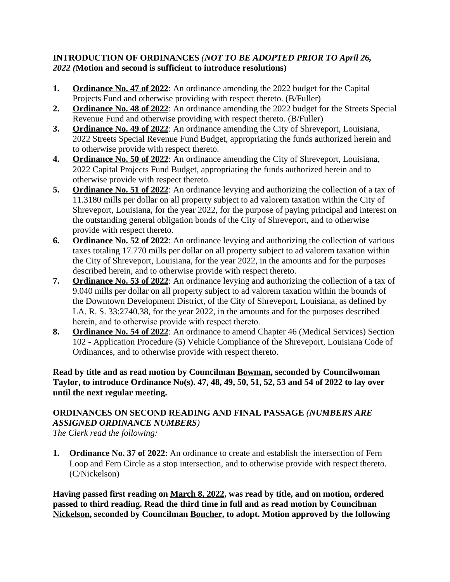## **INTRODUCTION OF ORDINANCES** *(NOT TO BE ADOPTED PRIOR TO April 26, 2022 (***Motion and second is sufficient to introduce resolutions)**

- **1. Ordinance No. 47 of 2022**: An ordinance amending the 2022 budget for the Capital Projects Fund and otherwise providing with respect thereto. (B/Fuller)
- **2. Ordinance No. 48 of 2022**: An ordinance amending the 2022 budget for the Streets Special Revenue Fund and otherwise providing with respect thereto. (B/Fuller)
- **3. Ordinance No. 49 of 2022**: An ordinance amending the City of Shreveport, Louisiana, 2022 Streets Special Revenue Fund Budget, appropriating the funds authorized herein and to otherwise provide with respect thereto.
- **4. Ordinance No. 50 of 2022**: An ordinance amending the City of Shreveport, Louisiana, 2022 Capital Projects Fund Budget, appropriating the funds authorized herein and to otherwise provide with respect thereto.
- **5. Ordinance No. 51 of 2022**: An ordinance levying and authorizing the collection of a tax of 11.3180 mills per dollar on all property subject to ad valorem taxation within the City of Shreveport, Louisiana, for the year 2022, for the purpose of paying principal and interest on the outstanding general obligation bonds of the City of Shreveport, and to otherwise provide with respect thereto.
- **6. Ordinance No. 52 of 2022**: An ordinance levying and authorizing the collection of various taxes totaling 17.770 mills per dollar on all property subject to ad valorem taxation within the City of Shreveport, Louisiana, for the year 2022, in the amounts and for the purposes described herein, and to otherwise provide with respect thereto.
- **7. Ordinance No. 53 of 2022**: An ordinance levying and authorizing the collection of a tax of 9.040 mills per dollar on all property subject to ad valorem taxation within the bounds of the Downtown Development District, of the City of Shreveport, Louisiana, as defined by LA. R. S. 33:2740.38, for the year 2022, in the amounts and for the purposes described herein, and to otherwise provide with respect thereto.
- **8. Ordinance No. 54 of 2022**: An ordinance to amend Chapter 46 (Medical Services) Section 102 - Application Procedure (5) Vehicle Compliance of the Shreveport, Louisiana Code of Ordinances, and to otherwise provide with respect thereto.

#### **Read by title and as read motion by Councilman Bowman, seconded by Councilwoman Taylor, to introduce Ordinance No(s). 47, 48, 49, 50, 51, 52, 53 and 54 of 2022 to lay over until the next regular meeting.**

# **ORDINANCES ON SECOND READING AND FINAL PASSAGE** *(NUMBERS ARE ASSIGNED ORDINANCE NUMBERS)*

*The Clerk read the following:* 

**1. Ordinance No. 37 of 2022**: An ordinance to create and establish the intersection of Fern Loop and Fern Circle as a stop intersection, and to otherwise provide with respect thereto. (C/Nickelson)

**Having passed first reading on March 8, 2022, was read by title, and on motion, ordered passed to third reading. Read the third time in full and as read motion by Councilman Nickelson, seconded by Councilman Boucher, to adopt. Motion approved by the following**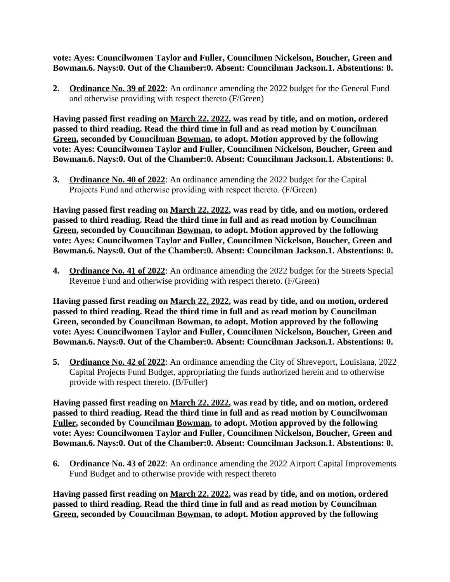**vote: Ayes: Councilwomen Taylor and Fuller, Councilmen Nickelson, Boucher, Green and Bowman.6. Nays:0. Out of the Chamber:0. Absent: Councilman Jackson.1. Abstentions: 0.**

**2. Ordinance No. 39 of 2022**: An ordinance amending the 2022 budget for the General Fund and otherwise providing with respect thereto (F/Green)

**Having passed first reading on March 22, 2022, was read by title, and on motion, ordered passed to third reading. Read the third time in full and as read motion by Councilman Green, seconded by Councilman Bowman, to adopt. Motion approved by the following vote: Ayes: Councilwomen Taylor and Fuller, Councilmen Nickelson, Boucher, Green and Bowman.6. Nays:0. Out of the Chamber:0. Absent: Councilman Jackson.1. Abstentions: 0.**

**3. Ordinance No. 40 of 2022**: An ordinance amending the 2022 budget for the Capital Projects Fund and otherwise providing with respect thereto. (F/Green)

**Having passed first reading on March 22, 2022, was read by title, and on motion, ordered passed to third reading. Read the third time in full and as read motion by Councilman Green, seconded by Councilman Bowman, to adopt. Motion approved by the following vote: Ayes: Councilwomen Taylor and Fuller, Councilmen Nickelson, Boucher, Green and Bowman.6. Nays:0. Out of the Chamber:0. Absent: Councilman Jackson.1. Abstentions: 0.**

**4. Ordinance No. 41 of 2022**: An ordinance amending the 2022 budget for the Streets Special Revenue Fund and otherwise providing with respect thereto. (F/Green)

**Having passed first reading on March 22, 2022, was read by title, and on motion, ordered passed to third reading. Read the third time in full and as read motion by Councilman Green, seconded by Councilman Bowman, to adopt. Motion approved by the following vote: Ayes: Councilwomen Taylor and Fuller, Councilmen Nickelson, Boucher, Green and Bowman.6. Nays:0. Out of the Chamber:0. Absent: Councilman Jackson.1. Abstentions: 0.**

**5. Ordinance No. 42 of 2022**: An ordinance amending the City of Shreveport, Louisiana, 2022 Capital Projects Fund Budget, appropriating the funds authorized herein and to otherwise provide with respect thereto. (B/Fuller)

**Having passed first reading on March 22, 2022, was read by title, and on motion, ordered passed to third reading. Read the third time in full and as read motion by Councilwoman Fuller, seconded by Councilman Bowman, to adopt. Motion approved by the following vote: Ayes: Councilwomen Taylor and Fuller, Councilmen Nickelson, Boucher, Green and Bowman.6. Nays:0. Out of the Chamber:0. Absent: Councilman Jackson.1. Abstentions: 0.**

**6. Ordinance No. 43 of 2022**: An ordinance amending the 2022 Airport Capital Improvements Fund Budget and to otherwise provide with respect thereto

**Having passed first reading on March 22, 2022, was read by title, and on motion, ordered passed to third reading. Read the third time in full and as read motion by Councilman Green, seconded by Councilman Bowman, to adopt. Motion approved by the following**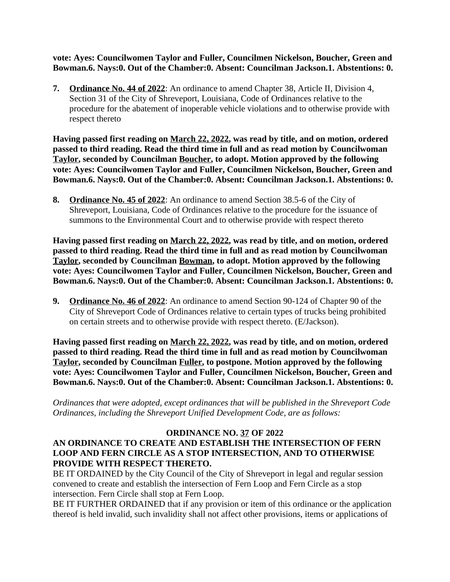**vote: Ayes: Councilwomen Taylor and Fuller, Councilmen Nickelson, Boucher, Green and Bowman.6. Nays:0. Out of the Chamber:0. Absent: Councilman Jackson.1. Abstentions: 0.**

**7. Ordinance No. 44 of 2022**: An ordinance to amend Chapter 38, Article II, Division 4, Section 31 of the City of Shreveport, Louisiana, Code of Ordinances relative to the procedure for the abatement of inoperable vehicle violations and to otherwise provide with respect thereto

**Having passed first reading on March 22, 2022, was read by title, and on motion, ordered passed to third reading. Read the third time in full and as read motion by Councilwoman Taylor, seconded by Councilman Boucher, to adopt. Motion approved by the following vote: Ayes: Councilwomen Taylor and Fuller, Councilmen Nickelson, Boucher, Green and Bowman.6. Nays:0. Out of the Chamber:0. Absent: Councilman Jackson.1. Abstentions: 0.**

**8. Ordinance No. 45 of 2022**: An ordinance to amend Section 38.5-6 of the City of Shreveport, Louisiana, Code of Ordinances relative to the procedure for the issuance of summons to the Environmental Court and to otherwise provide with respect thereto

**Having passed first reading on March 22, 2022, was read by title, and on motion, ordered passed to third reading. Read the third time in full and as read motion by Councilwoman Taylor, seconded by Councilman Bowman, to adopt. Motion approved by the following vote: Ayes: Councilwomen Taylor and Fuller, Councilmen Nickelson, Boucher, Green and Bowman.6. Nays:0. Out of the Chamber:0. Absent: Councilman Jackson.1. Abstentions: 0.**

**9. Ordinance No. 46 of 2022**: An ordinance to amend Section 90-124 of Chapter 90 of the City of Shreveport Code of Ordinances relative to certain types of trucks being prohibited on certain streets and to otherwise provide with respect thereto. (E/Jackson).

**Having passed first reading on March 22, 2022, was read by title, and on motion, ordered passed to third reading. Read the third time in full and as read motion by Councilwoman Taylor, seconded by Councilman Fuller, to postpone. Motion approved by the following vote: Ayes: Councilwomen Taylor and Fuller, Councilmen Nickelson, Boucher, Green and Bowman.6. Nays:0. Out of the Chamber:0. Absent: Councilman Jackson.1. Abstentions: 0.**

*Ordinances that were adopted, except ordinances that will be published in the Shreveport Code Ordinances, including the Shreveport Unified Development Code, are as follows:*

#### **ORDINANCE NO. 37 OF 2022 AN ORDINANCE TO CREATE AND ESTABLISH THE INTERSECTION OF FERN LOOP AND FERN CIRCLE AS A STOP INTERSECTION, AND TO OTHERWISE PROVIDE WITH RESPECT THERETO.**

BE IT ORDAINED by the City Council of the City of Shreveport in legal and regular session convened to create and establish the intersection of Fern Loop and Fern Circle as a stop intersection. Fern Circle shall stop at Fern Loop.

BE IT FURTHER ORDAINED that if any provision or item of this ordinance or the application thereof is held invalid, such invalidity shall not affect other provisions, items or applications of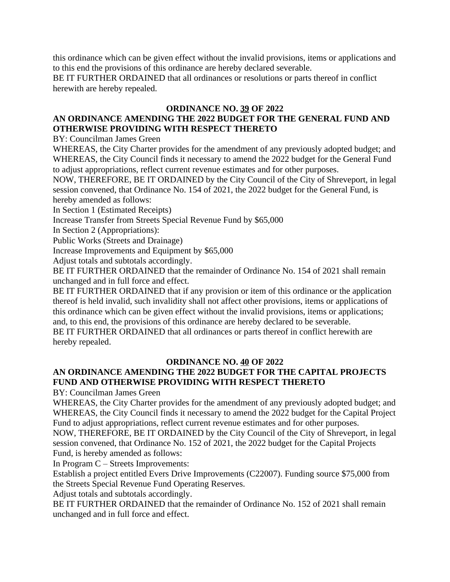this ordinance which can be given effect without the invalid provisions, items or applications and to this end the provisions of this ordinance are hereby declared severable.

BE IT FURTHER ORDAINED that all ordinances or resolutions or parts thereof in conflict herewith are hereby repealed.

#### **ORDINANCE NO. 39 OF 2022**

# **AN ORDINANCE AMENDING THE 2022 BUDGET FOR THE GENERAL FUND AND OTHERWISE PROVIDING WITH RESPECT THERETO**

BY: Councilman James Green

WHEREAS, the City Charter provides for the amendment of any previously adopted budget; and WHEREAS, the City Council finds it necessary to amend the 2022 budget for the General Fund to adjust appropriations, reflect current revenue estimates and for other purposes.

NOW, THEREFORE, BE IT ORDAINED by the City Council of the City of Shreveport, in legal session convened, that Ordinance No. 154 of 2021, the 2022 budget for the General Fund, is hereby amended as follows:

In Section 1 (Estimated Receipts)

Increase Transfer from Streets Special Revenue Fund by \$65,000

In Section 2 (Appropriations):

Public Works (Streets and Drainage)

Increase Improvements and Equipment by \$65,000

Adjust totals and subtotals accordingly.

BE IT FURTHER ORDAINED that the remainder of Ordinance No. 154 of 2021 shall remain unchanged and in full force and effect.

BE IT FURTHER ORDAINED that if any provision or item of this ordinance or the application thereof is held invalid, such invalidity shall not affect other provisions, items or applications of this ordinance which can be given effect without the invalid provisions, items or applications; and, to this end, the provisions of this ordinance are hereby declared to be severable.

BE IT FURTHER ORDAINED that all ordinances or parts thereof in conflict herewith are hereby repealed.

#### **ORDINANCE NO. 40 OF 2022**

# **AN ORDINANCE AMENDING THE 2022 BUDGET FOR THE CAPITAL PROJECTS FUND AND OTHERWISE PROVIDING WITH RESPECT THERETO**

BY: Councilman James Green

WHEREAS, the City Charter provides for the amendment of any previously adopted budget; and WHEREAS, the City Council finds it necessary to amend the 2022 budget for the Capital Project Fund to adjust appropriations, reflect current revenue estimates and for other purposes.

NOW, THEREFORE, BE IT ORDAINED by the City Council of the City of Shreveport, in legal session convened, that Ordinance No. 152 of 2021, the 2022 budget for the Capital Projects Fund, is hereby amended as follows:

In Program C – Streets Improvements:

Establish a project entitled Evers Drive Improvements (C22007). Funding source \$75,000 from the Streets Special Revenue Fund Operating Reserves.

Adjust totals and subtotals accordingly.

BE IT FURTHER ORDAINED that the remainder of Ordinance No. 152 of 2021 shall remain unchanged and in full force and effect.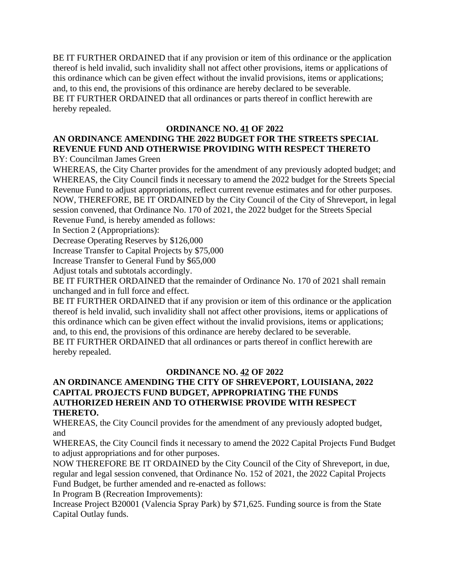BE IT FURTHER ORDAINED that if any provision or item of this ordinance or the application thereof is held invalid, such invalidity shall not affect other provisions, items or applications of this ordinance which can be given effect without the invalid provisions, items or applications; and, to this end, the provisions of this ordinance are hereby declared to be severable. BE IT FURTHER ORDAINED that all ordinances or parts thereof in conflict herewith are hereby repealed.

#### **ORDINANCE NO. 41 OF 2022**

# **AN ORDINANCE AMENDING THE 2022 BUDGET FOR THE STREETS SPECIAL REVENUE FUND AND OTHERWISE PROVIDING WITH RESPECT THERETO**

BY: Councilman James Green

WHEREAS, the City Charter provides for the amendment of any previously adopted budget; and WHEREAS, the City Council finds it necessary to amend the 2022 budget for the Streets Special Revenue Fund to adjust appropriations, reflect current revenue estimates and for other purposes. NOW, THEREFORE, BE IT ORDAINED by the City Council of the City of Shreveport, in legal session convened, that Ordinance No. 170 of 2021, the 2022 budget for the Streets Special Revenue Fund, is hereby amended as follows:

In Section 2 (Appropriations):

Decrease Operating Reserves by \$126,000

Increase Transfer to Capital Projects by \$75,000

Increase Transfer to General Fund by \$65,000

Adjust totals and subtotals accordingly.

BE IT FURTHER ORDAINED that the remainder of Ordinance No. 170 of 2021 shall remain unchanged and in full force and effect.

BE IT FURTHER ORDAINED that if any provision or item of this ordinance or the application thereof is held invalid, such invalidity shall not affect other provisions, items or applications of this ordinance which can be given effect without the invalid provisions, items or applications; and, to this end, the provisions of this ordinance are hereby declared to be severable. BE IT FURTHER ORDAINED that all ordinances or parts thereof in conflict herewith are hereby repealed.

#### **ORDINANCE NO. 42 OF 2022 AN ORDINANCE AMENDING THE CITY OF SHREVEPORT, LOUISIANA, 2022 CAPITAL PROJECTS FUND BUDGET, APPROPRIATING THE FUNDS AUTHORIZED HEREIN AND TO OTHERWISE PROVIDE WITH RESPECT THERETO.**

WHEREAS, the City Council provides for the amendment of any previously adopted budget, and

WHEREAS, the City Council finds it necessary to amend the 2022 Capital Projects Fund Budget to adjust appropriations and for other purposes.

NOW THEREFORE BE IT ORDAINED by the City Council of the City of Shreveport, in due, regular and legal session convened, that Ordinance No. 152 of 2021, the 2022 Capital Projects Fund Budget, be further amended and re-enacted as follows:

In Program B (Recreation Improvements):

Increase Project B20001 (Valencia Spray Park) by \$71,625. Funding source is from the State Capital Outlay funds.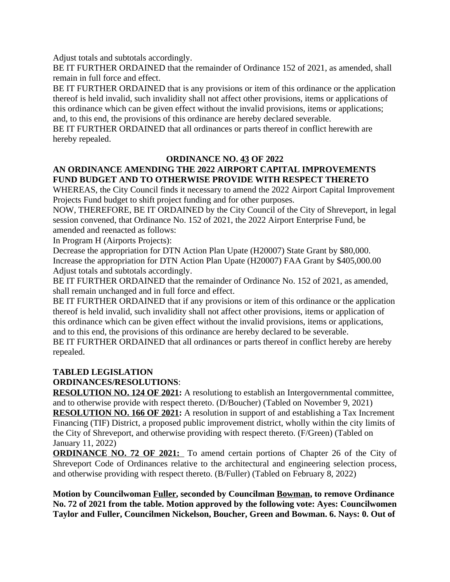Adjust totals and subtotals accordingly.

BE IT FURTHER ORDAINED that the remainder of Ordinance 152 of 2021, as amended, shall remain in full force and effect.

BE IT FURTHER ORDAINED that is any provisions or item of this ordinance or the application thereof is held invalid, such invalidity shall not affect other provisions, items or applications of this ordinance which can be given effect without the invalid provisions, items or applications; and, to this end, the provisions of this ordinance are hereby declared severable.

BE IT FURTHER ORDAINED that all ordinances or parts thereof in conflict herewith are hereby repealed.

#### **ORDINANCE NO. 43 OF 2022**

# **AN ORDINANCE AMENDING THE 2022 AIRPORT CAPITAL IMPROVEMENTS FUND BUDGET AND TO OTHERWISE PROVIDE WITH RESPECT THERETO**

WHEREAS, the City Council finds it necessary to amend the 2022 Airport Capital Improvement Projects Fund budget to shift project funding and for other purposes.

NOW, THEREFORE, BE IT ORDAINED by the City Council of the City of Shreveport, in legal session convened, that Ordinance No. 152 of 2021, the 2022 Airport Enterprise Fund, be amended and reenacted as follows:

In Program H (Airports Projects):

Decrease the appropriation for DTN Action Plan Upate (H20007) State Grant by \$80,000. Increase the appropriation for DTN Action Plan Upate (H20007) FAA Grant by \$405,000.00 Adjust totals and subtotals accordingly.

BE IT FURTHER ORDAINED that the remainder of Ordinance No. 152 of 2021, as amended, shall remain unchanged and in full force and effect.

BE IT FURTHER ORDAINED that if any provisions or item of this ordinance or the application thereof is held invalid, such invalidity shall not affect other provisions, items or application of this ordinance which can be given effect without the invalid provisions, items or applications, and to this end, the provisions of this ordinance are hereby declared to be severable.

BE IT FURTHER ORDAINED that all ordinances or parts thereof in conflict hereby are hereby repealed.

# **TABLED LEGISLATION**

#### **ORDINANCES/RESOLUTIONS**:

**RESOLUTION NO. 124 OF 2021:** A resolutiong to establish an Intergovernmental committee, and to otherwise provide with respect thereto. (D/Boucher) (Tabled on November 9, 2021)

**RESOLUTION NO. 166 OF 2021:** A resolution in support of and establishing a Tax Increment Financing (TIF) District, a proposed public improvement district, wholly within the city limits of the City of Shreveport, and otherwise providing with respect thereto. (F/Green) (Tabled on January 11, 2022)

**ORDINANCE NO. 72 OF 2021:** To amend certain portions of Chapter 26 of the City of Shreveport Code of Ordinances relative to the architectural and engineering selection process, and otherwise providing with respect thereto. (B/Fuller) (Tabled on February 8, 2022)

**Motion by Councilwoman Fuller, seconded by Councilman Bowman, to remove Ordinance No. 72 of 2021 from the table. Motion approved by the following vote: Ayes: Councilwomen Taylor and Fuller, Councilmen Nickelson, Boucher, Green and Bowman. 6. Nays: 0. Out of**